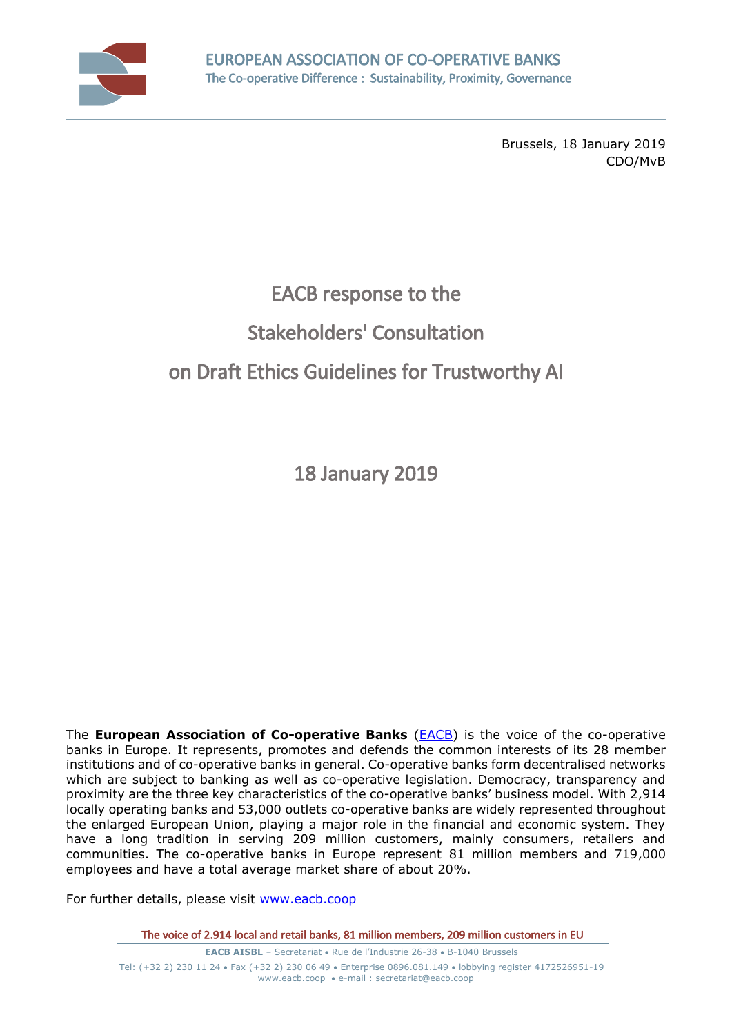

Brussels, 18 January 2019 CDO/MvB

# EACB response to the

## Stakeholders' Consultation

# on Draft Ethics Guidelines for Trustworthy AI

18 January 2019

The **European Association of Co-operative Banks** [\(EACB\)](http://www.eacb.coop/en/home.html) is the voice of the co-operative banks in Europe. It represents, promotes and defends the common interests of its 28 member institutions and of co-operative banks in general. Co-operative banks form decentralised networks which are subject to banking as well as co-operative legislation. Democracy, transparency and proximity are the three key characteristics of the co-operative banks' business model. With 2,914 locally operating banks and 53,000 outlets co-operative banks are widely represented throughout the enlarged European Union, playing a major role in the financial and economic system. They have a long tradition in serving 209 million customers, mainly consumers, retailers and communities. The co-operative banks in Europe represent 81 million members and 719,000 employees and have a total average market share of about 20%.

For further details, please visit [www.eacb.coop](http://www.eacb.coop/)

The voice of 2.914 local and retail banks, 81 million members, 209 million customers in EU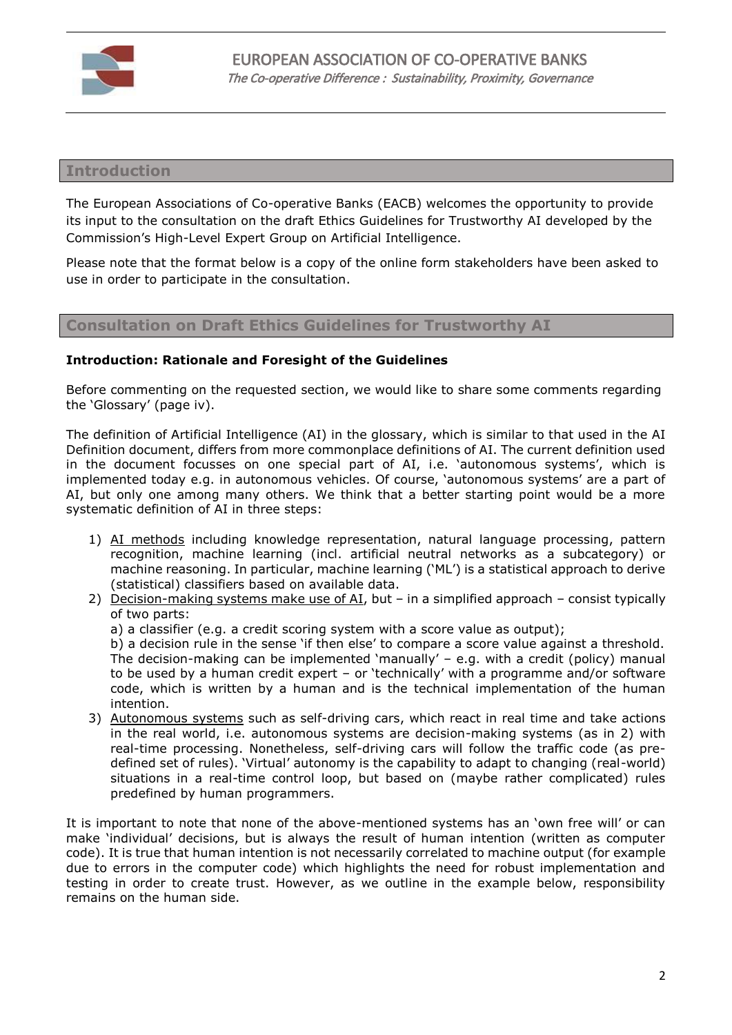

#### **Introduction**

The European Associations of Co-operative Banks (EACB) welcomes the opportunity to provide its input to the consultation on the draft Ethics Guidelines for Trustworthy AI developed by the Commission's High-Level Expert Group on Artificial Intelligence.

Please note that the format below is a copy of the online form stakeholders have been asked to use in order to participate in the consultation.

### **Consultation on Draft Ethics Guidelines for Trustworthy AI**

#### **Introduction: Rationale and Foresight of the Guidelines**

Before commenting on the requested section, we would like to share some comments regarding the 'Glossary' (page iv).

The definition of Artificial Intelligence (AI) in the glossary, which is similar to that used in the AI Definition document, differs from more commonplace definitions of AI. The current definition used in the document focusses on one special part of AI, i.e. 'autonomous systems', which is implemented today e.g. in autonomous vehicles. Of course, 'autonomous systems' are a part of AI, but only one among many others. We think that a better starting point would be a more systematic definition of AI in three steps:

- 1) AI methods including knowledge representation, natural language processing, pattern recognition, machine learning (incl. artificial neutral networks as a subcategory) or machine reasoning. In particular, machine learning ('ML') is a statistical approach to derive (statistical) classifiers based on available data.
- 2) Decision-making systems make use of AI, but in a simplified approach consist typically of two parts:
	- a) a classifier (e.g. a credit scoring system with a score value as output);

b) a decision rule in the sense 'if then else' to compare a score value against a threshold. The decision-making can be implemented 'manually' – e.g. with a credit (policy) manual to be used by a human credit expert – or 'technically' with a programme and/or software code, which is written by a human and is the technical implementation of the human intention.

3) Autonomous systems such as self-driving cars, which react in real time and take actions in the real world, i.e. autonomous systems are decision-making systems (as in 2) with real-time processing. Nonetheless, self-driving cars will follow the traffic code (as predefined set of rules). 'Virtual' autonomy is the capability to adapt to changing (real-world) situations in a real-time control loop, but based on (maybe rather complicated) rules predefined by human programmers.

It is important to note that none of the above-mentioned systems has an 'own free will' or can make 'individual' decisions, but is always the result of human intention (written as computer code). It is true that human intention is not necessarily correlated to machine output (for example due to errors in the computer code) which highlights the need for robust implementation and testing in order to create trust. However, as we outline in the example below, responsibility remains on the human side.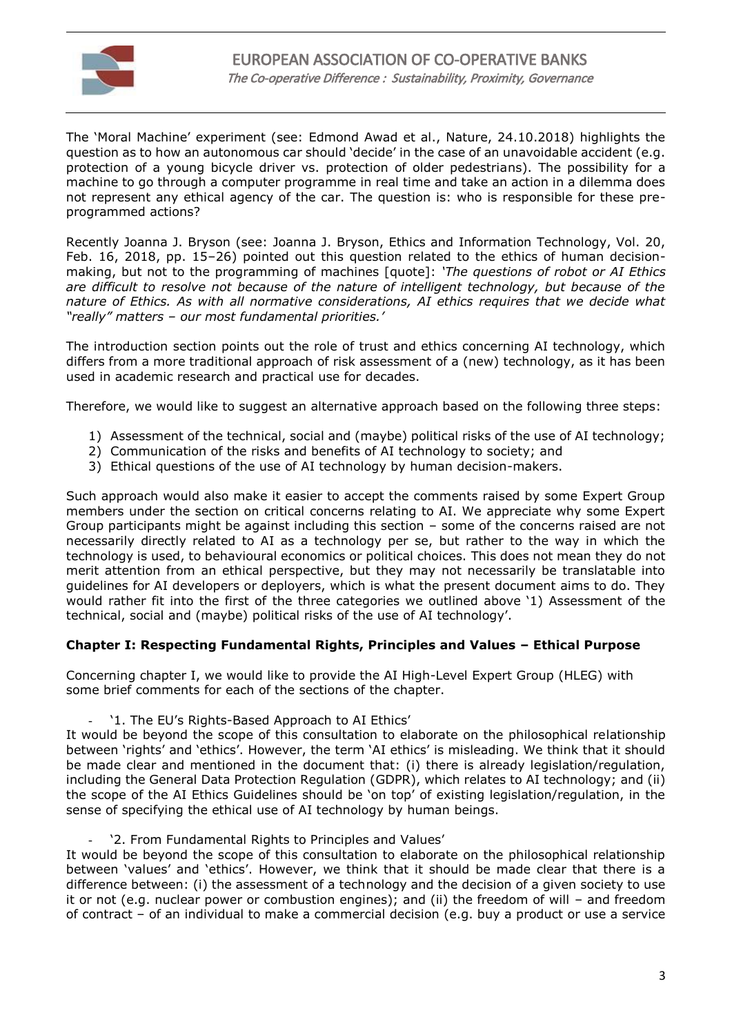

The 'Moral Machine' experiment (see: Edmond Awad et al., Nature, 24.10.2018) highlights the question as to how an autonomous car should 'decide' in the case of an unavoidable accident (e.g. protection of a young bicycle driver vs. protection of older pedestrians). The possibility for a machine to go through a computer programme in real time and take an action in a dilemma does not represent any ethical agency of the car. The question is: who is responsible for these preprogrammed actions?

Recently Joanna J. Bryson (see: Joanna J. Bryson, Ethics and Information Technology, Vol. 20, Feb. 16, 2018, pp. 15–26) pointed out this question related to the ethics of human decisionmaking, but not to the programming of machines [quote]: *'The questions of robot or AI Ethics are difficult to resolve not because of the nature of intelligent technology, but because of the nature of Ethics. As with all normative considerations, AI ethics requires that we decide what "really" matters – our most fundamental priorities.'*

The introduction section points out the role of trust and ethics concerning AI technology, which differs from a more traditional approach of risk assessment of a (new) technology, as it has been used in academic research and practical use for decades.

Therefore, we would like to suggest an alternative approach based on the following three steps:

- 1) Assessment of the technical, social and (maybe) political risks of the use of AI technology;
- 2) Communication of the risks and benefits of AI technology to society; and
- 3) Ethical questions of the use of AI technology by human decision-makers.

Such approach would also make it easier to accept the comments raised by some Expert Group members under the section on critical concerns relating to AI. We appreciate why some Expert Group participants might be against including this section – some of the concerns raised are not necessarily directly related to AI as a technology per se, but rather to the way in which the technology is used, to behavioural economics or political choices. This does not mean they do not merit attention from an ethical perspective, but they may not necessarily be translatable into guidelines for AI developers or deployers, which is what the present document aims to do. They would rather fit into the first of the three categories we outlined above '1) Assessment of the technical, social and (maybe) political risks of the use of AI technology'.

#### **Chapter I: Respecting Fundamental Rights, Principles and Values – Ethical Purpose**

Concerning chapter I, we would like to provide the AI High-Level Expert Group (HLEG) with some brief comments for each of the sections of the chapter.

'1. The EU's Rights-Based Approach to AI Ethics'

It would be beyond the scope of this consultation to elaborate on the philosophical relationship between 'rights' and 'ethics'. However, the term 'AI ethics' is misleading. We think that it should be made clear and mentioned in the document that: (i) there is already legislation/regulation, including the General Data Protection Regulation (GDPR), which relates to AI technology; and (ii) the scope of the AI Ethics Guidelines should be 'on top' of existing legislation/regulation, in the sense of specifying the ethical use of AI technology by human beings.

'2. From Fundamental Rights to Principles and Values'

It would be beyond the scope of this consultation to elaborate on the philosophical relationship between 'values' and 'ethics'. However, we think that it should be made clear that there is a difference between: (i) the assessment of a technology and the decision of a given society to use it or not (e.g. nuclear power or combustion engines); and (ii) the freedom of will – and freedom of contract – of an individual to make a commercial decision (e.g. buy a product or use a service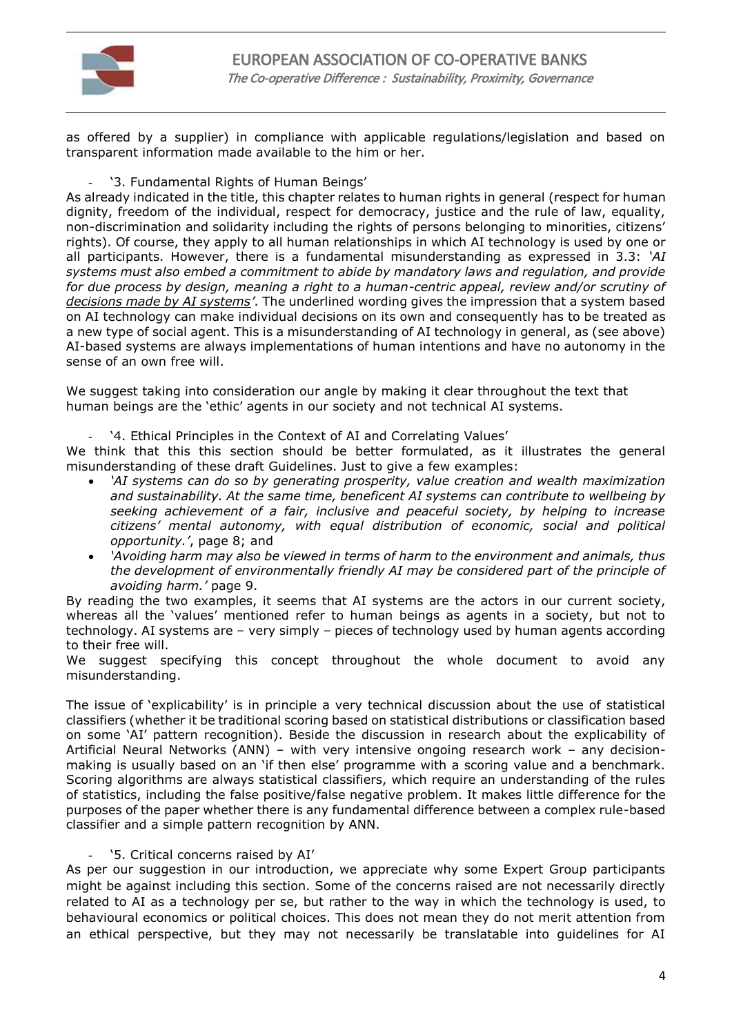

as offered by a supplier) in compliance with applicable regulations/legislation and based on transparent information made available to the him or her.

'3. Fundamental Rights of Human Beings'

As already indicated in the title, this chapter relates to human rights in general (respect for human dignity, freedom of the individual, respect for democracy, justice and the rule of law, equality, non-discrimination and solidarity including the rights of persons belonging to minorities, citizens' rights). Of course, they apply to all human relationships in which AI technology is used by one or all participants. However, there is a fundamental misunderstanding as expressed in 3.3: *'AI systems must also embed a commitment to abide by mandatory laws and regulation, and provide for due process by design, meaning a right to a human-centric appeal, review and/or scrutiny of decisions made by AI systems'*. The underlined wording gives the impression that a system based on AI technology can make individual decisions on its own and consequently has to be treated as a new type of social agent. This is a misunderstanding of AI technology in general, as (see above) AI-based systems are always implementations of human intentions and have no autonomy in the sense of an own free will.

We suggest taking into consideration our angle by making it clear throughout the text that human beings are the 'ethic' agents in our society and not technical AI systems.

'4. Ethical Principles in the Context of AI and Correlating Values'

We think that this this section should be better formulated, as it illustrates the general misunderstanding of these draft Guidelines. Just to give a few examples:

- *'AI systems can do so by generating prosperity, value creation and wealth maximization and sustainability. At the same time, beneficent AI systems can contribute to wellbeing by seeking achievement of a fair, inclusive and peaceful society, by helping to increase citizens' mental autonomy, with equal distribution of economic, social and political opportunity.'*, page 8; and
- *'Avoiding harm may also be viewed in terms of harm to the environment and animals, thus the development of environmentally friendly AI may be considered part of the principle of avoiding harm.'* page 9.

By reading the two examples, it seems that AI systems are the actors in our current society, whereas all the 'values' mentioned refer to human beings as agents in a society, but not to technology. AI systems are – very simply – pieces of technology used by human agents according to their free will.

We suggest specifying this concept throughout the whole document to avoid any misunderstanding.

The issue of 'explicability' is in principle a very technical discussion about the use of statistical classifiers (whether it be traditional scoring based on statistical distributions or classification based on some 'AI' pattern recognition). Beside the discussion in research about the explicability of Artificial Neural Networks (ANN) – with very intensive ongoing research work – any decisionmaking is usually based on an 'if then else' programme with a scoring value and a benchmark. Scoring algorithms are always statistical classifiers, which require an understanding of the rules of statistics, including the false positive/false negative problem. It makes little difference for the purposes of the paper whether there is any fundamental difference between a complex rule-based classifier and a simple pattern recognition by ANN.

#### '5. Critical concerns raised by AI'

As per our suggestion in our introduction, we appreciate why some Expert Group participants might be against including this section. Some of the concerns raised are not necessarily directly related to AI as a technology per se, but rather to the way in which the technology is used, to behavioural economics or political choices. This does not mean they do not merit attention from an ethical perspective, but they may not necessarily be translatable into guidelines for AI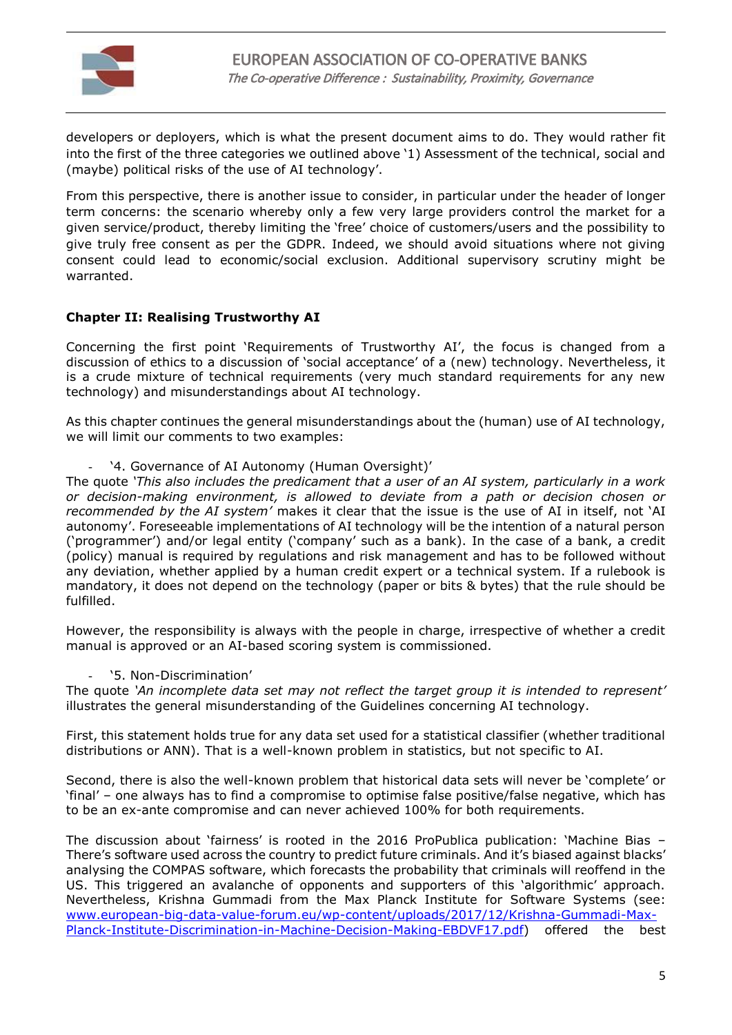

developers or deployers, which is what the present document aims to do. They would rather fit into the first of the three categories we outlined above '1) Assessment of the technical, social and (maybe) political risks of the use of AI technology'.

From this perspective, there is another issue to consider, in particular under the header of longer term concerns: the scenario whereby only a few very large providers control the market for a given service/product, thereby limiting the 'free' choice of customers/users and the possibility to give truly free consent as per the GDPR. Indeed, we should avoid situations where not giving consent could lead to economic/social exclusion. Additional supervisory scrutiny might be warranted.

### **Chapter II: Realising Trustworthy AI**

Concerning the first point 'Requirements of Trustworthy AI', the focus is changed from a discussion of ethics to a discussion of 'social acceptance' of a (new) technology. Nevertheless, it is a crude mixture of technical requirements (very much standard requirements for any new technology) and misunderstandings about AI technology.

As this chapter continues the general misunderstandings about the (human) use of AI technology, we will limit our comments to two examples:

'4. Governance of AI Autonomy (Human Oversight)'

The quote *'This also includes the predicament that a user of an AI system, particularly in a work or decision-making environment, is allowed to deviate from a path or decision chosen or recommended by the AI system'* makes it clear that the issue is the use of AI in itself, not 'AI autonomy'. Foreseeable implementations of AI technology will be the intention of a natural person ('programmer') and/or legal entity ('company' such as a bank). In the case of a bank, a credit (policy) manual is required by regulations and risk management and has to be followed without any deviation, whether applied by a human credit expert or a technical system. If a rulebook is mandatory, it does not depend on the technology (paper or bits & bytes) that the rule should be fulfilled.

However, the responsibility is always with the people in charge, irrespective of whether a credit manual is approved or an AI-based scoring system is commissioned.

'5. Non-Discrimination'

The quote *'An incomplete data set may not reflect the target group it is intended to represent'* illustrates the general misunderstanding of the Guidelines concerning AI technology.

First, this statement holds true for any data set used for a statistical classifier (whether traditional distributions or ANN). That is a well-known problem in statistics, but not specific to AI.

Second, there is also the well-known problem that historical data sets will never be 'complete' or 'final' – one always has to find a compromise to optimise false positive/false negative, which has to be an ex-ante compromise and can never achieved 100% for both requirements.

The discussion about 'fairness' is rooted in the 2016 ProPublica publication: 'Machine Bias – There's software used across the country to predict future criminals. And it's biased against blacks' analysing the COMPAS software, which forecasts the probability that criminals will reoffend in the US. This triggered an avalanche of opponents and supporters of this 'algorithmic' approach. Nevertheless, Krishna Gummadi from the Max Planck Institute for Software Systems (see: [www.european-big-data-value-forum.eu/wp-content/uploads/2017/12/Krishna-Gummadi-Max-](http://www.european-big-data-value-forum.eu/wp-content/uploads/2017/12/Krishna-Gummadi-Max-Planck-Institute-Discrimination-in-Machine-Decision-Making-EBDVF17.pdf)[Planck-Institute-Discrimination-in-Machine-Decision-Making-EBDVF17.pdf\)](http://www.european-big-data-value-forum.eu/wp-content/uploads/2017/12/Krishna-Gummadi-Max-Planck-Institute-Discrimination-in-Machine-Decision-Making-EBDVF17.pdf) offered the best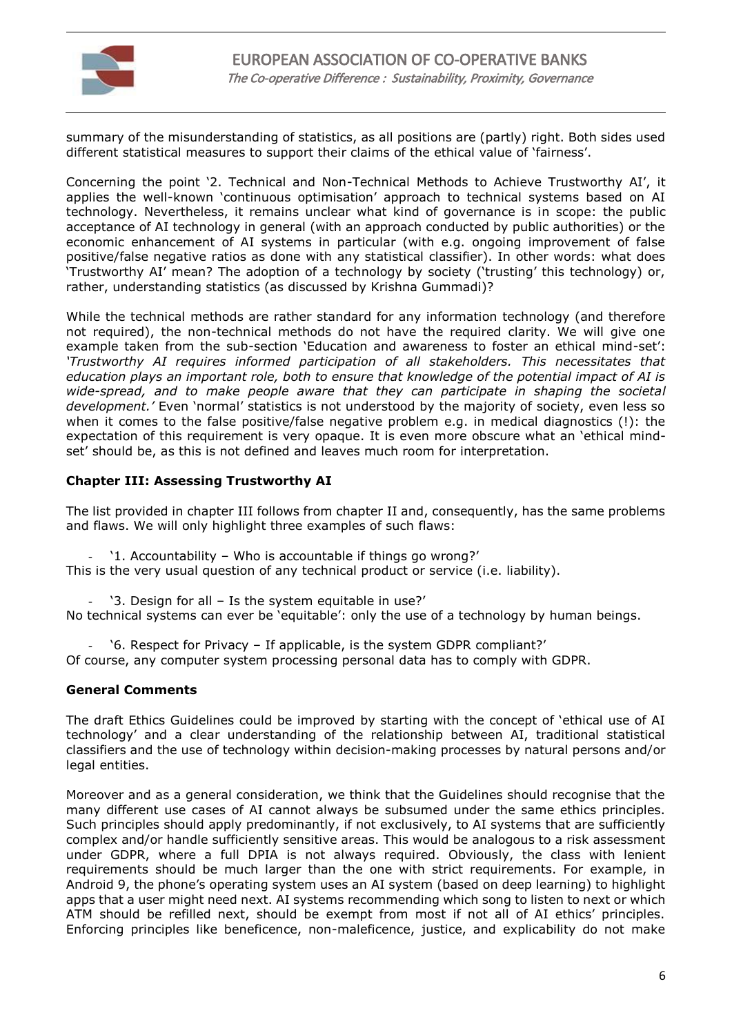

summary of the misunderstanding of statistics, as all positions are (partly) right. Both sides used different statistical measures to support their claims of the ethical value of 'fairness'.

Concerning the point '2. Technical and Non-Technical Methods to Achieve Trustworthy AI', it applies the well-known 'continuous optimisation' approach to technical systems based on AI technology. Nevertheless, it remains unclear what kind of governance is in scope: the public acceptance of AI technology in general (with an approach conducted by public authorities) or the economic enhancement of AI systems in particular (with e.g. ongoing improvement of false positive/false negative ratios as done with any statistical classifier). In other words: what does 'Trustworthy AI' mean? The adoption of a technology by society ('trusting' this technology) or, rather, understanding statistics (as discussed by Krishna Gummadi)?

While the technical methods are rather standard for any information technology (and therefore not required), the non-technical methods do not have the required clarity. We will give one example taken from the sub-section 'Education and awareness to foster an ethical mind-set': *'Trustworthy AI requires informed participation of all stakeholders. This necessitates that education plays an important role, both to ensure that knowledge of the potential impact of AI is wide-spread, and to make people aware that they can participate in shaping the societal development.'* Even 'normal' statistics is not understood by the majority of society, even less so when it comes to the false positive/false negative problem e.g. in medical diagnostics (!): the expectation of this requirement is very opaque. It is even more obscure what an 'ethical mindset' should be, as this is not defined and leaves much room for interpretation.

#### **Chapter III: Assessing Trustworthy AI**

The list provided in chapter III follows from chapter II and, consequently, has the same problems and flaws. We will only highlight three examples of such flaws:

'1. Accountability – Who is accountable if things go wrong?'

This is the very usual question of any technical product or service (i.e. liability).

'3. Design for all - Is the system equitable in use?'

No technical systems can ever be 'equitable': only the use of a technology by human beings.

- '6. Respect for Privacy – If applicable, is the system GDPR compliant?'

Of course, any computer system processing personal data has to comply with GDPR.

#### **General Comments**

The draft Ethics Guidelines could be improved by starting with the concept of 'ethical use of AI technology' and a clear understanding of the relationship between AI, traditional statistical classifiers and the use of technology within decision-making processes by natural persons and/or legal entities.

Moreover and as a general consideration, we think that the Guidelines should recognise that the many different use cases of AI cannot always be subsumed under the same ethics principles. Such principles should apply predominantly, if not exclusively, to AI systems that are sufficiently complex and/or handle sufficiently sensitive areas. This would be analogous to a risk assessment under GDPR, where a full DPIA is not always required. Obviously, the class with lenient requirements should be much larger than the one with strict requirements. For example, in Android 9, the phone's operating system uses an AI system (based on deep learning) to highlight apps that a user might need next. AI systems recommending which song to listen to next or which ATM should be refilled next, should be exempt from most if not all of AI ethics' principles. Enforcing principles like beneficence, non-maleficence, justice, and explicability do not make